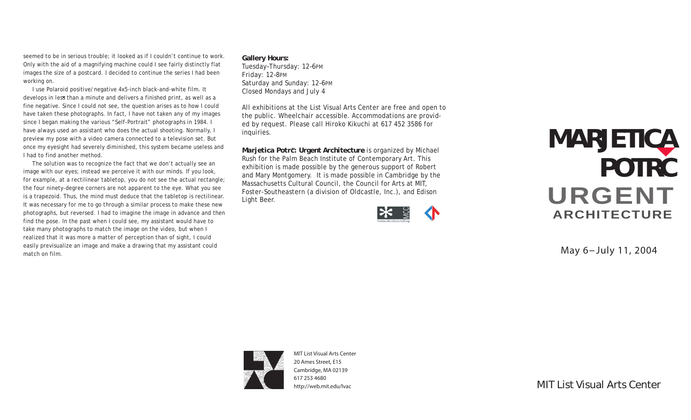seemed to be in serious trouble; it looked as if I couldn't continue to work. Only with the aid of a magnifying machine could I see fairly distinctly flat images the size of a postcard. I decided to continue the series I had been working on.

**v** develops in less than a minute and delivers a finished print, as well as a I use Polaroid positive/negative 4x5-inch black-and-white film. It fine negative. Since I could not see, the question arises as to how I could have taken these photographs. In fact, I have not taken any of my images since I began making the various "Self-Portrait" photographs in 1984. I have always used an assistant who does the actual shooting. Normally, I preview my pose with a video camera connected to a television set. But once my eyesight had severely diminished, this system became useless and I had to find another method.

 The solution was to recognize the fact that we don't actually see an image with our eyes; instead we perceive it with our minds. If you look, for example, at a rectilinear tabletop, you do not see the actual rectangle; the four ninety-degree corners are not apparent to the eye. What you see is a trapezoid. Thus, the mind must deduce that the tabletop is rectilinear. It was necessary for me to go through a similar process to make these new photographs, but reversed. I had to imagine the image in advance and then find the pose. In the past when I could see, my assistant would have to take many photographs to match the image on the video, but when I realized that it was more a matter of perception than of sight, I could easily previsualize an image and make a drawing that my assistant could match on film.

**Gallery Hours:** Tuesday–Thursday: 12–6PM Friday: 12–8PM Saturday and Sunday: 12–6PM Closed Mondays and July 4

All exhibitions at the List Visual Arts Center are free and open to the public. Wheelchair accessible. Accommodations are provided by request. Please call Hiroko Kikuchi at 617 452 3586 for inquiries.

Marjetica Potrč: Urgent Architecture is organized by Michael Rush for the Palm Beach Institute of Contemporary Art. This exhibition is made possible by the generous support of Robert and Mary Montgomery. It is made possible in Cambridge by the Massachusetts Cultural Council, the Council for Arts at MIT, Foster-Southeastern (a division of Oldcastle, Inc.), and Edison Light Beer.



## URGENT **ARCHITECTURE MARJETICA POTRC**

**May 6-July 11, 2004**



MIT List Visual Arts Center 20 Ames Street, E15 Cambridge, MA 02139 [617 253 4680](tel:6172534680) <http://web.mit.edu/lvac>

MIT List Visual Arts Center